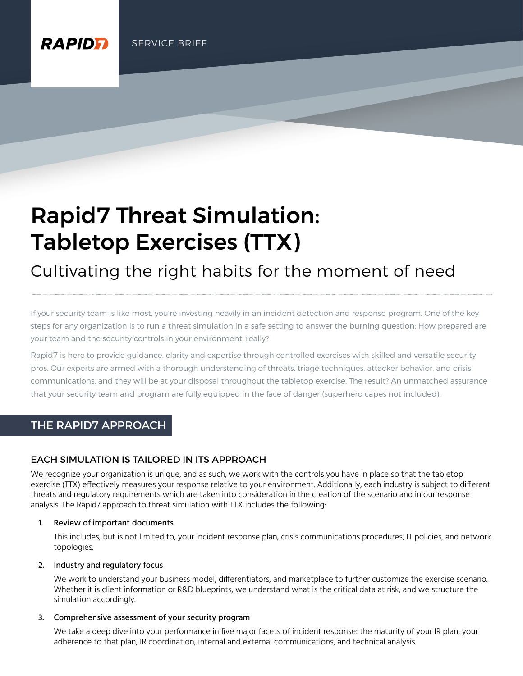**RAPIDE** 

# Rapid7 Threat Simulation: Tabletop Exercises (TTX)

Cultivating the right habits for the moment of need

If your security team is like most, you're investing heavily in an incident detection and response program. One of the key steps for any organization is to run a threat simulation in a safe setting to answer the burning question: How prepared are your team and the security controls in your environment, really?

Rapid7 is here to provide guidance, clarity and expertise through controlled exercises with skilled and versatile security pros. Our experts are armed with a thorough understanding of threats, triage techniques, attacker behavior, and crisis communications, and they will be at your disposal throughout the tabletop exercise. The result? An unmatched assurance that your security team and program are fully equipped in the face of danger (superhero capes not included).

# THE RAPID7 APPROACH

## EACH SIMULATION IS TAILORED IN ITS APPROACH

We recognize your organization is unique, and as such, we work with the controls you have in place so that the tabletop exercise (TTX) effectively measures your response relative to your environment. Additionally, each industry is subject to different threats and regulatory requirements which are taken into consideration in the creation of the scenario and in our response analysis. The Rapid7 approach to threat simulation with TTX includes the following:

#### 1. Review of important documents

This includes, but is not limited to, your incident response plan, crisis communications procedures, IT policies, and network topologies.

#### 2. Industry and regulatory focus

We work to understand your business model, differentiators, and marketplace to further customize the exercise scenario. Whether it is client information or R&D blueprints, we understand what is the critical data at risk, and we structure the simulation accordingly.

#### 3. Comprehensive assessment of your security program

We take a deep dive into your performance in five major facets of incident response: the maturity of your IR plan, your adherence to that plan, IR coordination, internal and external communications, and technical analysis.